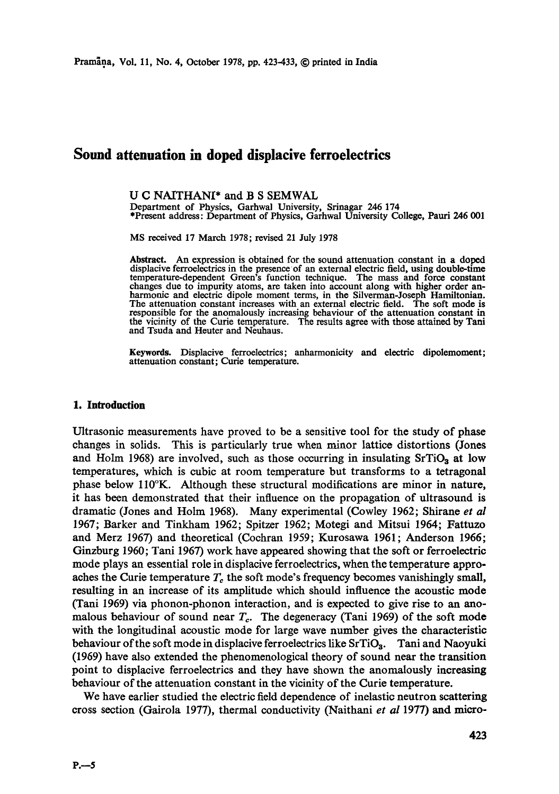# **Sound attenuation in doped displaeive ferroeleetries**

U C NAITHAN[\* and B S SEMWAL Department of Physics, Garhwal University, Srinagar 246 174 \*Present address: Department of Physics, Garhwal University College, Pauri 246 001

MS received 17 March 1978; revised 21 July 1978

Abstract. An expression is obtained for the sound attenuation constant in a doped displacive ferroelectrics in the presence of an external electric field, using double-time temperature-dependent Green's function technique. The mass and force constant changes due to impurity atoms, are taken into account along with higher order an-harmonic and electric dipole moment terms, in the Silverrnan-Joseph Hamiltonian. The attenuation constant increases with an external electric field. The soft mode is responsible for the anomalously increasing behaviour of the attenuation constant in the vicinity of the Curie temperature. The results agree with those attained by Tani and Tsuda and Heuter and Neuhaus.

**Keywords.** Displacive ferroelectrics; anharmonicity and electric dipolemoment; attenuation constant; Curie temperature.

## **1. Introduction**

Ultrasonic measurements have proved to be a sensitive tool for the study of phase changes in solids. This is particularly true when minor lattice distortions (Jones and Holm 1968) are involved, such as those occurring in insulating  $SrTiO<sub>3</sub>$  at low temperatures, which is cubic at room temperature but transforms to a tetragonal phase below ll0°K. Although these structural modifications are minor in nature, it has been demonstrated that their influence on the propagation of ultrasound is dramatic (Jones and Holm 1968). Many experimental (Cowley 1962; Shirane *et al*  1967; Barker and Tinkham 1962; Spitzer 1962; Motegi and Mitsui 1964; Fattuzo and Merz 1967) and theoretical (Coehran 1959; Kurosawa 1961; Anderson 1966; Ginzburg 1960; Tani 1967) work have appeared showing that the soft or ferroelectric mode plays an essential role in displacive ferroelectrics, when the temperature approaches the Curie temperature  $T_c$  the soft mode's frequency becomes vanishingly small, resulting in an increase of its amplitude which should influence the acoustic mode (Tani 1969) via phonon-phonon interaction, and is expected to give rise to an anomalous behaviour of sound near  $T_c$ . The degeneracy (Tani 1969) of the soft mode with the longitudinal acoustic mode for large wave number gives the characteristic behaviour of the soft mode in displacive ferroelectrics like  $SrTiO<sub>3</sub>$ . Tani and Naoyuki (1969) have also extended the phenomenological theory of sound near the transition point to displaeive ferroelectrics and they have shown the anomalously increasing behaviour of the attenuation constant in the vicinity of the Curie temperature.

We have earlier studied the electric field dependence of inelastic neutron scattering cross section (Gairola 1977), thermal conductivity (Naithani *et al* 1977) and micro-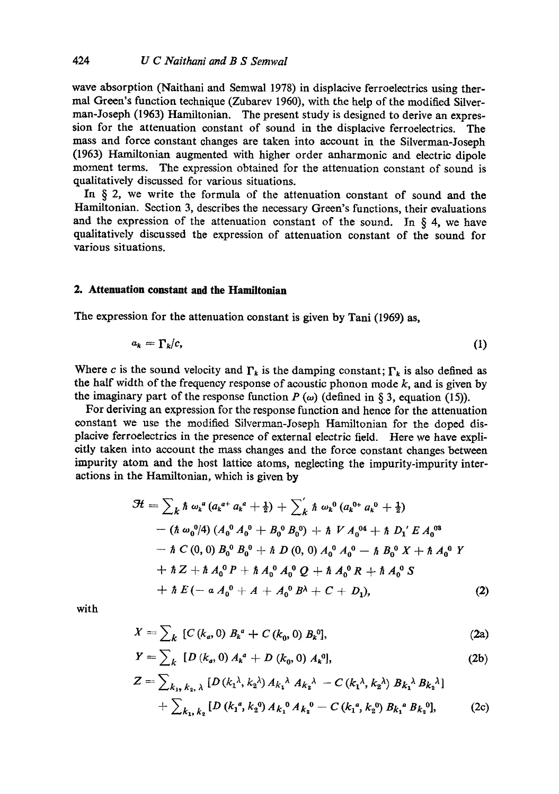wave absorption (Naithani and Semwal 1978) in displacive ferroelectries using thermal Green's function technique (Zubarev 1960), with the help of the modified Silverman-Joseph (1963) Hamiltonian. The present study is designed to derive an expression for the attenuation constant of sound in the displacive ferroelectries. The mass and force constant changes are taken into account in the Silverman-Joseph (1963) Hamiltonian augmented with higher order anharmonic and electric dipole moment terms. The expression obtained for the attenuation constant of sound is qualitatively discussed for various situations.

In  $\S$  2, we write the formula of the attenuation constant of sound and the Hamiltonian. Section 3, describes the necessary Green's functions, their evaluations and the expression of the attenuation constant of the sound. In  $\S$  4, we have qualitatively discussed the expression of attenuation constant of the sound for various situations.

### **2. Attenuation constant and the Hamiltonian**

The expression for the attenuation constant is given by Tani (1969) as,

$$
a_k = \Gamma_k/c, \tag{1}
$$

Where c is the sound velocity and  $\Gamma_k$  is the damping constant;  $\Gamma_k$  is also defined as the half width of the frequency response of acoustic phonon mode  $k$ , and is given by the imaginary part of the response function  $P(\omega)$  (defined in § 3, equation (15)).

For deriving an expression for the response function and hence for the attenuation constant we use the modified Silverman-Joseph Hamillonian for the doped displacive ferroelectrics in the presence of external electrie field. Here we have explicitly taken into account the mass changes and the force constant changes between impurity atom and the host lattice atoms, neglecting the impurity-impurity interactions in the Hamiltonian, which is given by

$$
\mathcal{H} = \sum_{k} \hbar \omega_{k}^{a} (a_{k}^{a+} a_{k}^{a} + \frac{1}{2}) + \sum_{k}^{\prime} \hbar \omega_{k}^{0} (a_{k}^{0+} a_{k}^{0} + \frac{1}{2})
$$
  
– (h  $\omega_{0}^{0}/4$ )  $(A_{0}^{0} A_{0}^{0} + B_{0}^{0} B_{0}^{0}) + \hbar V A_{0}^{04} + \hbar D_{1}^{\prime} E A_{0}^{03}$   
– h  $C(0, 0) B_{0}^{0} B_{0}^{0} + \hbar D(0, 0) A_{0}^{0} A_{0}^{0} - \hbar B_{0}^{0} X + \hbar A_{0}^{0} Y$   
+ h  $Z + \hbar A_{0}^{0} P + \hbar A_{0}^{0} A_{0}^{0} Q + \hbar A_{0}^{0} R + \hbar A_{0}^{0} S$   
+ h  $E(-a A_{0}^{0} + A + A_{0}^{0} B^{A} + C + D_{1}),$  (2)

with

$$
X = \sum_{k} [C(k_a, 0) B_k^a + C(k_0, 0) B_k^0], \qquad (2a)
$$

$$
Y = \sum_{k} [D (k_a, 0) A_k^a + D (k_0, 0) A_k^0], \qquad (2b)
$$

$$
Z = \sum_{k_1, k_2, \lambda} [D(k_1^{\lambda}, k_2^{\lambda}) A_{k_1}{}^{\lambda} A_{k_2}{}^{\lambda} - C(k_1^{\lambda}, k_2^{\lambda}) B_{k_1}{}^{\lambda} B_{k_2}{}^{\lambda}]
$$
  
+ 
$$
\sum_{k_1, k_2} [D(k_1^a, k_2^0) A_{k_1}{}^0 A_{k_2}{}^0 - C(k_1^a, k_2^0) B_{k_1}{}^a B_{k_2}{}^0],
$$
 (2c)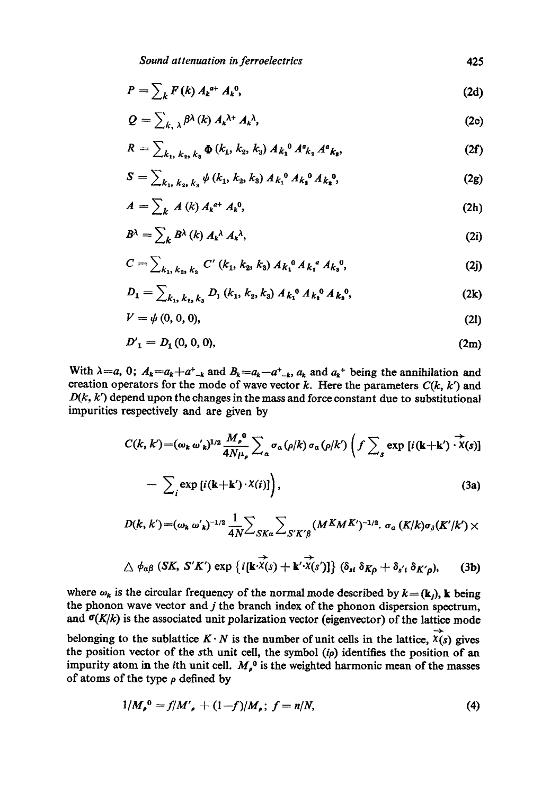$$
P = \sum_{k} F(k) A_k^{a+} A_k^{0}, \qquad (2d)
$$

$$
Q = \sum_{k, \lambda} \beta^{\lambda} (k) A_k^{\lambda +} A_k^{\lambda}, \qquad (2e)
$$

$$
R = \sum_{k_1, k_2, k_3} \Phi(k_1, k_2, k_3) A_{k_1}{}^0 A_{k_2}{}^a A_{k_3}{}^o,
$$
 (2f)

$$
S = \sum_{k_1, k_2, k_3} \psi(k_1, k_2, k_3) A_{k_1}^{0} A_{k_2}^{0} A_{k_3}^{0}, \qquad (2g)
$$

$$
A = \sum_{k} A(k) A_k^{a+} A_k^{0}, \qquad (2h)
$$

$$
B^{\lambda} = \sum_{k} B^{\lambda} (k) A_{k}{}^{\lambda} A_{k}{}^{\lambda}, \qquad (2i)
$$

$$
C = \sum_{k_1, k_2, k_3} C' (k_1, k_2, k_3) A_{k_1}^0 A_{k_2}^a A_{k_3}^0,
$$
 (2j)

$$
D_1 = \sum_{k_1, k_2, k_3} D_1(k_1, k_2, k_3) A_{k_1}^{0} A_{k_2}^{0} A_{k_3}^{0}, \qquad (2k)
$$

$$
V = \psi(0, 0, 0), \tag{21}
$$

$$
D'_{1} = D_{1}(0, 0, 0), \tag{2m}
$$

With  $\lambda=a, 0$ ;  $A_k=a_k+a_{-k}$  and  $B_k=a_k-a_{-k}$ ,  $a_k$  and  $a_k$ <sup>+</sup> being the annihilation and creation operators for the mode of wave vector  $k$ . Here the parameters  $C(k, k')$  and  $D(k, k')$  depend upon the changes in the mass and force constant due to substitutional impurities respectively and are given by

$$
C(k, k') = (\omega_k \omega'_k)^{1/2} \frac{M_\rho^0}{4N\mu_\rho} \sum_\alpha \sigma_\alpha(\rho/k) \sigma_\alpha(\rho/k') \left(f \sum_s \exp [i(\mathbf{k} + \mathbf{k}') \cdot \overrightarrow{X}(s)]\right)
$$

$$
- \sum_{i} \exp [i(\mathbf{k} + \mathbf{k}') \cdot X(i)] \big), \tag{3a}
$$

$$
D(k, k') = (\omega_k \omega'_k)^{-1/2} \frac{1}{4N} \sum_{SKa} \sum_{S'K' \beta} (M^K M^{K'})^{-1/2} \cdot \sigma_a (K/k) \sigma_\beta (K'/k') \times
$$

$$
\triangle \phi_{\alpha\beta} \left(SK, S'K'\right) \exp \left\{i[\mathbf{k}\cdot\overrightarrow{\mathbf{x}}(s)+\mathbf{k}'\cdot\overrightarrow{\mathbf{x}}(s')] \right\} (\delta_{\mathbf{st}} \delta_{K\rho} + \delta_{s't} \delta_{K'\rho}), \qquad (3b)
$$

where  $\omega_k$  is the circular frequency of the normal mode described by  $k = (\mathbf{k}_i)$ , k being the phonon wave vector and  $j$  the branch index of the phonon dispersion spectrum, and  $\sigma(K/k)$  is the associated unit polarization vector (eigenvector) of the lattice mode belonging to the sublattice  $K \cdot N$  is the number of unit cells in the lattice,  $\overrightarrow{X}(s)$  gives the position vector of the sth unit cell, the symbol *(ip)* identifies the position of an impurity atom in the *i*th unit cell.  $M_{\rho}^0$  is the weighted harmonic mean of the masses of atoms of the type  $\rho$  defined by

$$
1/M_{\rho}^{0} = f/M'_{\rho} + (1-f)/M_{\rho}; f = n/N,
$$
\n(4)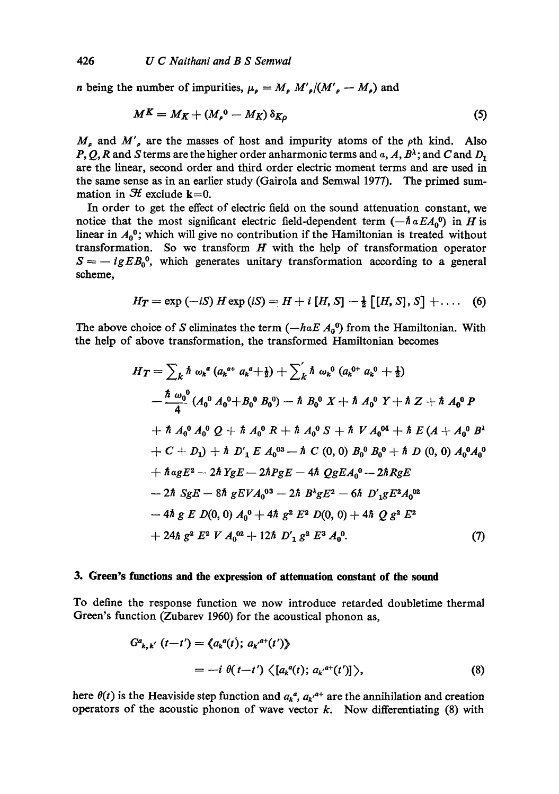*n* being the number of impurities,  $\mu_{\rho} = M_{\rho} M'_{\rho}/(M'_{\rho} - M_{\rho})$  and

$$
M^K = M_K + (M_{\rho}^0 - M_K) \, \delta_{K\rho} \tag{5}
$$

 $M_{\rho}$  and  $M'_{\rho}$  are the masses of host and impurity atoms of the  $\rho$ th kind. Also P, Q, R and S terms are the higher order anharmonic terms and  $\alpha$ , A,  $B^{\lambda}$ ; and C and  $D_1$ are the linear, second order and third order electric moment terms and are used in the same sense as in an earlier study (Gairola and Semwal 1977). The primed summation in  $H$  exclude  $k=0$ .

In order to get the effect of electric field on the sound attenuation constant, we notice that the most significant electric field-dependent term  $(-\hbar a E A_0^{\dagger})$  in H is linear in  $A_0^0$ ; which will give no contribution if the Hamiltonian is treated without transformation. So we transform  $H$  with the help of transformation operator  $S = -igEB<sub>0</sub><sup>0</sup>$ , which generates unitary transformation according to a general scheme,

$$
H_T = \exp(-iS) H \exp(iS) = H + i [H, S] - \frac{1}{2} [[H, S], S] + \dots (6)
$$

The above choice of S eliminates the term  $(-haE A_0^0)$  from the Hamiltonian. With the help of above transformation, the transformed Hamiltonian becomes

$$
H_T = \sum_{k} \hbar \omega_{k}{}^{a} (a_{k}{}^{a+} a_{k}{}^{a} + \frac{1}{2}) + \sum_{k}^{\prime} \hbar \omega_{k}{}^{0} (a_{k}{}^{0+} a_{k}{}^{0} + \frac{1}{2})
$$
  
\n
$$
- \frac{\hbar \omega_{0}{}^{0}}{4} (A_{0}{}^{0} A_{0}{}^{0} + B_{0}{}^{0} B_{0}{}^{0}) - \hbar B_{0}{}^{0} X + \hbar A_{0}{}^{0} Y + \hbar Z + \hbar A_{0}{}^{0} P
$$
  
\n
$$
+ \hbar A_{0}{}^{0} A_{0}{}^{0} Q + \hbar A_{0}{}^{0} R + \hbar A_{0}{}^{0} S + \hbar V A_{0}{}^{04} + \hbar E (A + A_{0}{}^{0} B^{1})
$$
  
\n
$$
+ C + D_{1}) + \hbar D'_{1} E A_{0}{}^{03} - \hbar C (0, 0) B_{0}{}^{0} B_{0}{}^{0} + \hbar D (0, 0) A_{0}{}^{0} A_{0}{}^{0}
$$
  
\n
$$
+ \hbar a_{g} E^{2} - 2 \hbar Y_{g} E - 2 \hbar P_{g} E - 4 \hbar Q_{g} E A_{0}{}^{0} - 2 \hbar R_{g} E
$$
  
\n
$$
- 2 \hbar S_{g} E - 8 \hbar g E V A_{0}{}^{03} - 2 \hbar B^{1} g E^{2} - 6 \hbar D'_{1} g E^{2} A_{0}{}^{02}
$$
  
\n
$$
- 4 \hbar g E D(0, 0) A_{0}{}^{0} + 4 \hbar g^{2} E^{2} D(0, 0) + 4 \hbar Q g^{2} E^{2}
$$
  
\n
$$
+ 24 \hbar g^{2} E^{2} V A_{0}{}^{02} + 12 \hbar D'_{1} g^{2} E^{3} A_{0}{}^{0}.
$$
  
\n(7)

#### **3. Green's functions and the expression of attenuation constant of the sound**

To define the response function we now introduce retarded doubletime thermal Green's function (Zubarev 1960) for the acoustical phonon as,

$$
G^{a}_{k,k'}(t-t') = \langle a_k^{a}(t); a_{k'}^{a+}(t') \rangle
$$
  
=  $-i \theta(t-t') \langle [a_k^{a}(t); a_{k'}^{a+}(t')] \rangle,$  (8)

here  $\theta(t)$  is the Heaviside step function and  $a_k^a$ ,  $a_{k'}^{a+}$  are the annihilation and creation operators of the acoustic phonon of wave vector  $k$ . Now differentiating (8) with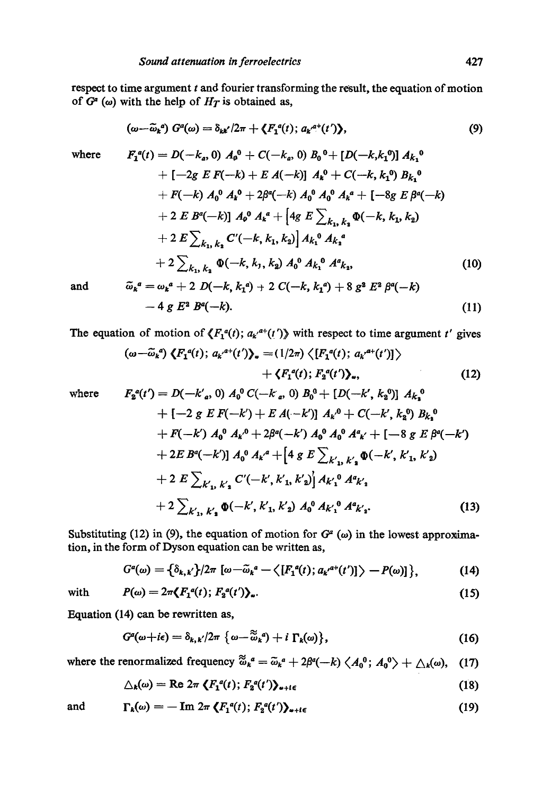respect to time argument  $t$  and fourier transforming the result, the equation of motion of  $G^a$  ( $\omega$ ) with the help of  $H_T$  is obtained as,

$$
(\omega - \widetilde{\omega}_k{}^a) G^a(\omega) = \delta_{kk'} / 2\pi + \langle F_1{}^a(t); a_{k'}{}^{a+}(t') \rangle, \tag{9}
$$

where 
$$
F_1^a(t) = D(-k_a, 0) A_0^0 + C(-k_a, 0) B_0^0 + [D(-k, k_1^0)] A_{k_1}^0 + [-2g E F(-k) + E A(-k)] A_k^0 + C(-k, k_1^0) B_{k_1}^0 + F(-k) A_0^0 A_k^0 + 2\beta^a(-k) A_0^0 A_0^0 A_k^a + [-8g E \beta^a(-k) + 2 E B^a(-k)] A_0^0 A_k^a + [4g E \sum_{k_1, k_2} \Phi(-k, k_1, k_2) + 2 E \sum_{k_1, k_2} C'(-k, k_1, k_2)] A_{k_1}^0 A_{k_2}^a + 2 \sum_{k_1, k_2} \Phi(-k, k_1, k_2) A_0^0 A_{k_1}^0 A_{k_2}^a,
$$
\n(10)

and 
$$
\widetilde{\omega}_k^a = \omega_k^a + 2 D(-k, k_1^a) + 2 C(-k, k_1^a) + 8 g^2 E^2 \beta^a(-k)
$$

$$
- 4 g E^2 B^a(-k). \tag{11}
$$

The equation of motion of  $\langle F_1^{\alpha}(t); a_{k'}^{\alpha+}(t')\rangle$  with respect to time argument t' gives

$$
(\omega-\widetilde{\omega}_k^a)\langle F_1^a(t); a_k^{a+}(t')\rangle_{\omega} = (1/2\pi)\langle [F_1^a(t); a_k^{a+}(t')] \rangle
$$
  
 
$$
+ \langle F_1^a(t); F_2^a(t')\rangle_{\omega}, \qquad (12)
$$

where 
$$
F_2^a(t') = D(-k'_a, 0) A_0^0 C(-k_a, 0) B_0^0 + [D(-k', k_2^0)] A_{k_2}^0 + [-2 g E F(-k') + E A(-k')] A_{k'}^0 + C(-k', k_2^0) B_{k_2}^0 + F(-k') A_0^0 A_{k'}^0 + 2\beta^a(-k') A_0^0 A_0^0 A_{k'}^a + [-8 g E \beta^a(-k') + 2 E B^a(-k')] A_0^0 A_{k'}^a + [4 g E \sum_{k'_{1}, k'_{2}} \Phi(-k', k'_{1}, k'_{2}) + 2 E \sum_{k'_{1}, k'_{2}} C'(-k', k'_{1}, k'_{2})' A_{k'_{1}}^0 A_{k'_{2}}^a + 2 \sum_{k'_{1}, k'_{2}} \Phi(-k', k'_{1}, k'_{2}) A_0^0 A_{k'_{1}}^0 A_{k'_{2}}^a.
$$
\n(13)

Substituting (12) in (9), the equation of motion for  $G<sup>a</sup>$  ( $\omega$ ) in the lowest approximation, in the form of Dyson equation can be written as,

$$
G^{a}(\omega)=\left\{\delta_{k,k'}\right\}/2\pi \left[\omega-\tilde{\omega}_{k}^{a}-\left\langle \left[F_{1}^{a}(t); a_{k'}^{a+}(t')\right]\right\rangle - P(\omega)\right]\right\},\tag{14}
$$

with 
$$
P(\omega) = 2\pi \langle F_1^{\,a}(t); F_2^{\,a}(t') \rangle_{\omega}.
$$
 (15)

Equation (14) can be rewritten as,

$$
G^{a}(\omega + i\epsilon) = \delta_{k,k}/2\pi \{ \omega - \widetilde{\omega}_{k}{}^{a}\} + i \Gamma_{k}(\omega) \},
$$
\n(16)

where the renormalized frequency  $\widetilde{\omega}_k^a = \widetilde{\omega}_k^a + 2\beta^a(-k) \langle A_0^0; A_0^0 \rangle + \Delta_k(\omega)$ , (17)

$$
\triangle_{k}(\omega) = \text{Re } 2\pi \left\langle F_{1}^{a}(t); F_{2}^{a}(t') \right\rangle_{\omega + i\epsilon}
$$
\n(18)

and 
$$
\Gamma_k(\omega) = -\operatorname{Im} 2\pi \left\langle F_1^{\ a}(t) ; F_2^{\ a}(t') \right\rangle_{\alpha + i\epsilon}
$$
 (19)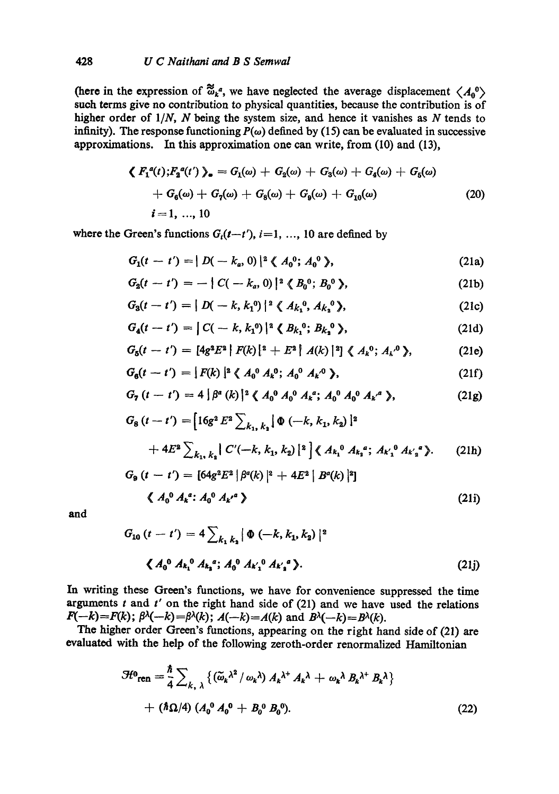(here in the expression of  $\mathbb{Z}_{k}^{a}$ , we have neglected the average displacement  $\langle A_{0}^{0} \rangle$ such terms give no contribution to physical quantities, because the contribution is of higher order of *l/N, N* being the system size, and hence it vanishes as N tends to infinity). The response functioning  $P(\omega)$  defined by (15) can be evaluated in successive approximations. In this approximation one can write, from (10) and (13),

$$
\langle F_1^a(t); F_2^a(t') \rangle_a = G_1(\omega) + G_2(\omega) + G_3(\omega) + G_4(\omega) + G_5(\omega) + G_6(\omega) + G_7(\omega) + G_8(\omega) + G_9(\omega) + G_{10}(\omega) i = 1, ..., 10
$$
\n(20)

where the Green's functions  $G_i(t-t')$ ,  $i=1, ..., 10$  are defined by

$$
G_1(t-t') = | D(-k_a, 0) |^2 \langle A_0^0; A_0^0 \rangle, \qquad (21a)
$$

$$
G_2(t-t') = - | C(-k_a, 0) |^2 \langle B_0^0; B_0^0 \rangle, \qquad (21b)
$$

$$
G_3(t-t') = | D(-k, k_1^0) |^2 \langle A_{k_1}^0, A_{k_2}^0 \rangle, \qquad (21c)
$$

$$
G_4(t-t') = |C(-k, k_1^0)|^2 \langle B_{k_1}^0; B_{k_2}^0 \rangle, \qquad (21d)
$$

$$
G_5(t-t') = [4g^2E^2 | F(k)|^2 + E^2 | A(k) |^2] \langle A_k^0; A_k^0 \rangle, \qquad (21e)
$$

$$
G_6(t-t') = [F(k)]^2 \langle A_0^0 A_k^0; A_0^0 A_{k'}^0 \rangle, \qquad (21f)
$$

$$
G_7(t-t') = 4 \left[ \beta^a(k) \right]^2 \left\langle A_0^0 A_0^0 A_k^a; A_0^0 A_0^a A_k^a \right\rangle, \tag{21g}
$$

$$
G_8(t-t') = [16g^2 E^2 \sum_{k_1, k_2} [\Phi(-k, k_1, k_2)]^2
$$
  
+ 
$$
4E^2 \sum_{k_1, k_2} C'(-k, k_1, k_2) [2] \langle A_{k_1}^0 A_{k_2}^a; A_{k_1}^0 A_{k_2}^a \rangle. \tag{21h}
$$

$$
G_9(t - t') = [64g^2 E^2 | \beta^a(k) |^2 + 4E^2 | B^a(k) |^2]
$$
  
\$\langle A\_0^0 A\_k^a : A\_0^0 A\_{k'}^a \rangle\$ (21i)

**and** 

$$
G_{10} (t - t') = 4 \sum_{k_1 k_2} |\Phi(-k, k_1, k_2)|^2
$$
  

$$
\langle A_0^0 A_{k_1}^0 A_{k_2}^a; A_0^0 A_{k_1'}^0 A_{k_2'}^a \rangle.
$$
 (21j)

In writing these Green's functions, we have for convenience suppressed the time arguments  $t$  and  $t'$  on the right hand side of  $(21)$  and we have used the relations  $F(-k)=F(k); \beta^{\lambda}(-k)=\beta^{\lambda}(k); A(-k)=A(k) \text{ and } B^{\lambda}(-k)=B^{\lambda}(k).$ 

The higher order Green's functions, appearing on the right hand side of (21) are evaluated with the help of the following zeroth-order renormalized Hamiltonian

$$
\mathcal{H}^0_{\text{ren}} = \frac{\hbar}{4} \sum_{k, \lambda} \left\{ \left( \tilde{\omega}_k \lambda^2 / \omega_k \lambda \right) A_k \lambda^+ A_k \lambda + \omega_k \lambda B_k \lambda^+ B_k \lambda \right\} + \left( \hbar \Omega / 4 \right) \left( A_0^0 A_0^0 + B_0^0 B_0^0 \right).
$$
 (22)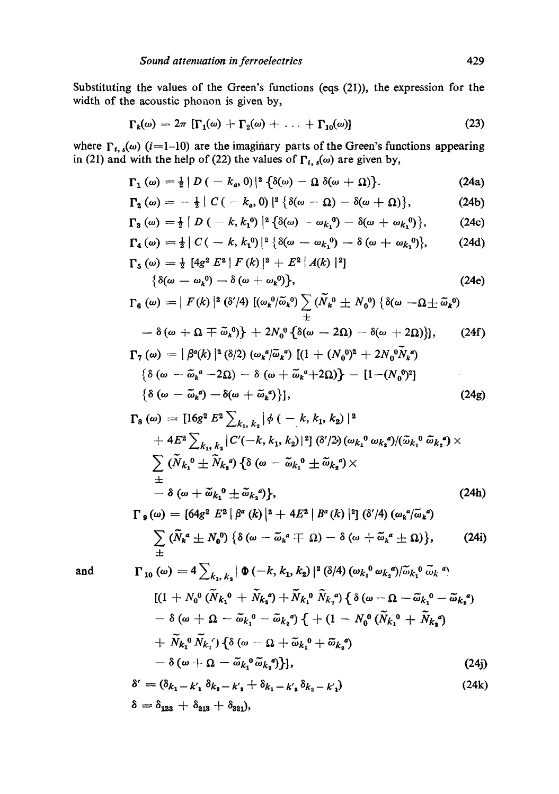Substituting the values of the Green's functions (eqs (21)), the expression for the width of the acoustic phonon is given by,

$$
\Gamma_k(\omega) = 2\pi \left[ \Gamma_1(\omega) + \Gamma_2(\omega) + \ldots + \Gamma_{10}(\omega) \right] \tag{23}
$$

where  $\Gamma_{i, s}(\omega)$  (i=1-10) are the imaginary parts of the Green's functions appearing in (21) and with the help of (22) the values of  $\Gamma_{i, s}(\omega)$  are given by,

$$
\Gamma_1(\omega) = \frac{1}{2} |D(-k_a, 0)|^2 {\delta(\omega) - \Omega \delta(\omega + \Omega)}.
$$
 (24a)

$$
\Gamma_2(\omega) = -\frac{1}{2} |C(-k_a,0)|^2 \left\{ \delta(\omega-\Omega) - \delta(\omega+\Omega) \right\},\tag{24b}
$$

$$
\Gamma_3(\omega)=\tfrac{1}{2}\left[D\left(-k,k_1^0\right)\right]^2\left\{\delta(\omega)-\omega_{k_1}^0\right)-\delta(\omega+\omega_{k_1}^0)\right\},\qquad(24c)
$$

$$
\Gamma_4(\omega) = \frac{1}{2} |C(-k, k_1^0)|^2 \left\{ \delta(\omega - \omega_{k_1}^0) - \delta(\omega + \omega_{k_1}^0) \right\}, \qquad (24d)
$$
  

$$
\Gamma_5(\omega) = \frac{1}{2} [4g^2 E^2 | F(k) |^2 + E^2 | A(k) |^2]
$$

$$
\delta(\omega) = \frac{1}{2} \left[ \frac{4g^2}{L^2} \right] \left[ \frac{1}{K} \left( \frac{\mu}{L} \right) \right]^{-1} + \frac{1}{K^2} \left[ \frac{1}{A(\mu)} \right]^{-1}
$$
\n
$$
\left\{ \frac{\delta(\omega - \omega_k^0) - \delta(\omega + \omega_k^0)}{L^2} \right\},\tag{24e}
$$

$$
\Gamma_6(\omega) = | F(k) |^2 \left( \delta'/4 \right) [(\omega_k^0/\tilde{\omega}_k^0) \sum_{\pm} (\tilde{N}_k^0 \pm N_0^0) \left\{ \delta(\omega - \Omega \pm \tilde{\omega}_k^0) \right\}
$$

$$
- \delta(\omega + \Omega \mp \tilde{\omega}_k^0) + 2N_0^0 \{\delta(\omega - 2\Omega) - \delta(\omega + 2\Omega)\}, \qquad (24f)
$$
  
\n
$$
\Gamma_7(\omega) = |\beta^a(k)|^2 (\delta/2) (\omega_k^a/\tilde{\omega}_k^a) [(1 + (N_0^0)^2 + 2N_0^0 \tilde{N}_k^a)
$$
  
\n
$$
\{\delta(\omega - \tilde{\omega}_k^a - 2\Omega) - \delta(\omega + \tilde{\omega}_k^a + 2\Omega)\} - [1 - (N_0^0)^2]
$$
  
\n
$$
\{\delta(\omega - \tilde{\omega}_k^a) - \delta(\omega + \tilde{\omega}_k^a)\}], \qquad (24g)
$$

$$
\Gamma_{8}(\omega) = [16g^{2} E^{2} \sum_{k_{1}, k_{2}} |\phi(-k, k_{1}, k_{2})|^{2} \n+ 4E^{2} \sum_{k_{1}, k_{2}} |C'(-k, k_{1}, k_{2})|^{2}] \, (\delta'/2) \, (\omega_{k_{1}}^{0} \omega_{k_{2}}^{0})/(\tilde{\omega}_{k_{1}}^{0} \tilde{\omega}_{k_{2}}^{0}) \times \n\sum_{\pm} (\tilde{N}_{k_{1}}^{0} \pm \tilde{N}_{k_{2}}^{0}) \, {\delta \omega - \tilde{\omega}_{k_{1}}^{0} \pm \tilde{\omega}_{k_{2}}^{0}}) \times \n+ O(\omega + \tilde{\omega}_{k_{1}}^{0} \pm \tilde{\omega}_{k_{2}}^{0}) \},
$$
\n(24h)  
\n
$$
\Gamma_{8}(\omega) = [64g^{2} E^{2} | \beta^{a} (k) |^{2} + 4E^{2} | B^{a} (k) |^{2}] \, (\delta'/4) \, (\omega_{k}^{a}/\tilde{\omega}_{k}^{a})
$$

$$
\sum_{\pm} (\widetilde{N}_{k}^{a} \pm N_{0}^{0}) \{ \delta(\omega - \widetilde{\omega}_{k}^{a} \mp \Omega) - \delta(\omega + \widetilde{\omega}_{k}^{a} \pm \Omega) \}, \qquad (24i)
$$

**and** 

$$
\Gamma_{10} (\omega) = 4 \sum_{k_1, k_2} |\Phi(-k, k_1, k_2)|^2 (\delta/4) (\omega_{k_1} \omega_{k_2} \omega) \tilde{\omega}_{k_1} \tilde{\omega}_{k_2} \tilde{\omega}_{k_3}.
$$
  
\n
$$
[(1 + N_0^0 (\tilde{N}_{k_1} \omega + \tilde{N}_{k_2} \omega) + \tilde{N}_{k_1} \omega \tilde{N}_{k_2} \omega) \{ \delta (\omega - \Omega - \tilde{\omega}_{k_1} \omega - \tilde{\omega}_{k_2} \omega) - \delta (\omega + \Omega - \tilde{\omega}_{k_1} \omega - \tilde{\omega}_{k_2} \omega) \{ + (1 - N_0^0 (\tilde{N}_{k_1} \omega + \tilde{N}_{k_2} \omega) + \tilde{N}_{k_1} \omega \tilde{N}_{k_2} \omega) + \tilde{N}_{k_1} \omega \tilde{N}_{k_2} \omega \}.
$$
  
\n
$$
- \delta (\omega + \Omega - \tilde{\omega}_{k_1} \omega \tilde{\omega}_{k_2} \omega) ]
$$
  
\n
$$
- \delta (\omega + \Omega - \tilde{\omega}_{k_1} \omega \tilde{\omega}_{k_2} \omega) ]
$$
  
\n(24)

$$
\delta' = (\delta_{k_1} - k'_1 \delta_{k_2} - k'_2 + \delta_{k_1} - k'_3 \delta_{k_2} - k'_1) \tag{24k}
$$
  

$$
\delta = \delta_{123} + \delta_{213} + \delta_{321},
$$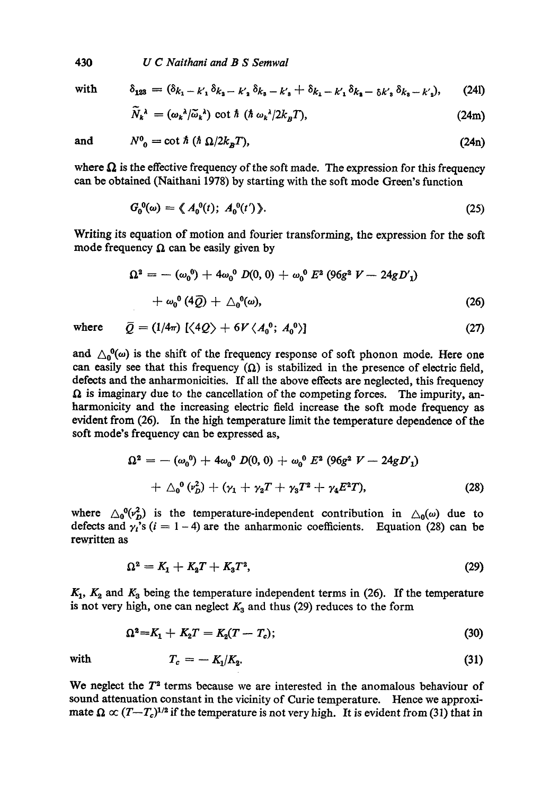430 *U C Naithani and B S Semwal* 

with

$$
\delta_{123} = (\delta_{k_1} - k_1 \delta_{k_2} - k_2 \delta_{k_3} - k_3 + \delta_{k_1} - k_1 \delta_{k_2} - \delta_{k_3} \delta_{k_3} - k_2),
$$
 (241)

$$
N_k^{\lambda} = (\omega_k^{\lambda}/\widetilde{\omega}_k^{\lambda}) \cot \hbar (\hbar \omega_k^{\lambda}/2k_B T), \qquad (24m)
$$

**and** 

$$
N^0_{\ \,0} = \cot \hbar \, (\hbar \, \Omega / 2k_B T),\tag{24n}
$$

where  $\Omega$  is the effective frequency of the soft made. The expression for this frequency can be obtained (Naithani 1978) by starting with the soft mode Green's function

$$
G_0^0(\omega) = \langle A_0^0(t); A_0^0(t') \rangle. \tag{25}
$$

Writing its equation of motion and fourier transforming, the expression for the soft mode frequency  $\Omega$  can be easily given by

$$
\Omega^2 = -(\omega_0^0) + 4\omega_0^0 D(0, 0) + \omega_0^0 E^2 (96g^2 V - 24gD'_1) + \omega_0^0 (4Q) + \Delta_0^0(\omega),
$$
\n(26)

where  $\bar{Q} = (1/4\pi) \left[ \langle 4Q \rangle + 6V \langle A_0^0; A_0^0 \rangle \right]$  (27)

and  $\Delta_0^0(\omega)$  is the shift of the frequency response of soft phonon mode. Here one can easily see that this frequency  $(\Omega)$  is stabilized in the presence of electric field, defects and the anharmonicities. If all the above effects are neglected, this frequency  $\Omega$  is imaginary due to the cancellation of the competing forces. The impurity, anhaxmonicity and the increasing electric field increase the soft mode frequency as evident from (26). In the high temperature limit the temperature dependence of the soft mode's frequency can be expressed as,

$$
\Omega^{2} = -(\omega_{0}^{0}) + 4\omega_{0}^{0} D(0, 0) + \omega_{0}^{0} E^{2} (96g^{2} V - 24gD_{1}')
$$
  
+  $\Delta_{0}^{0} (\nu_{D}^{2}) + (\gamma_{1} + \gamma_{2} T + \gamma_{3} T^{2} + \gamma_{4} E^{2} T),$  (28)

where  $\Delta_0^0(r_D^2)$  is the temperature-independent contribution in  $\Delta_0(\omega)$  due to defects and  $\gamma_i$ 's (i = 1-4) are the anharmonic coefficients. Equation (28) can be rewritten as

$$
\Omega^2 = K_1 + K_2 T + K_3 T^2, \tag{29}
$$

 $K_1$ ,  $K_2$  and  $K_3$  being the temperature independent terms in (26). If the temperature is not very high, one can neglect  $K_3$  and thus (29) reduces to the form

$$
\Omega^2 = K_1 + K_2 T = K_2 (T - T_c); \tag{30}
$$

with 
$$
T_c = -K_1/K_2. \tag{31}
$$

We neglect the  $T<sup>2</sup>$  terms because we are interested in the anomalous behaviour of sound attenuation constant in the vicinity of Curie temperature. Hence we approximate  $\Omega \propto (T-T_c)^{1/2}$  if the temperature is not very high. It is evident from (31) that in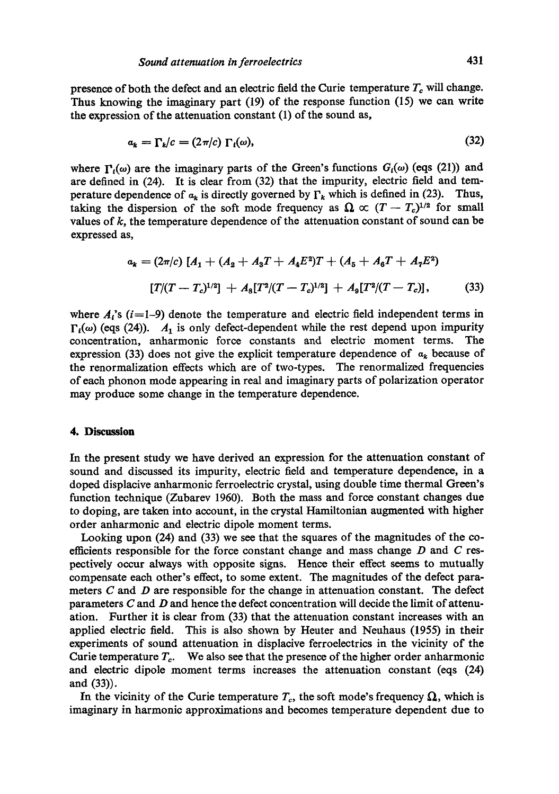presence of both the defect and an electric field the Curie temperature  $T_c$  will change. Thus knowing the imaginary part (19) of the response function (15) we can write the expression of the attenuation constant (1) of the sound as,

$$
a_k = \Gamma_k/c = (2\pi/c)\Gamma_i(\omega),\tag{32}
$$

where  $\Gamma_i(\omega)$  are the imaginary parts of the Green's functions  $G_i(\omega)$  (eqs (21)) and are defined in (24). It is clear from (32) that the impurity, electric field and temperature dependence of  $a_k$  is directly governed by  $\Gamma_k$  which is defined in (23). Thus, taking the dispersion of the soft mode frequency as  $\Omega \propto (T-T_c)^{1/2}$  for small values of  $k$ , the temperature dependence of the attenuation constant of sound can be expressed as,

$$
a_k = (2\pi/c) [A_1 + (A_2 + A_3T + A_4E^2)T + (A_5 + A_6T + A_7E^2)
$$
  
[*T*/(*T* - *T<sub>c</sub>*)<sup>1/2</sup>] + *A*<sub>8</sub>[*T*<sup>2</sup>/(*T* - *T<sub>c</sub>*)<sup>1/2</sup>] + *A*<sub>9</sub>[*T*<sup>2</sup>/(*T* - *T<sub>c</sub>*)], (33)

where  $A_i$ 's (i=1-9) denote the temperature and electric field independent terms in  $\Gamma_i(\omega)$  (eqs (24)).  $A_1$  is only defect-dependent while the rest depend upon impurity concentration, anharmonic force constants and electric moment terms. The expression (33) does not give the explicit temperature dependence of  $a_k$  because of the renormalization effects which are of two-types. The renormalized frequencies of each phonon mode appearing in real and imaginary parts of polarization operator may produce some change in the temperature dependence.

# **4. Discussion**

In the present study we have derived an expression for the attenuation constant of sound and discussed its impurity, electric field and temperature dependence, in a doped displacive anharmonie ferroelectric crystal, using double time thermal Green's function technique (Zubarev 1960). Both the mass and force constant changes due to doping, are taken into account, in the crystal Hamiltonian augmented with higher order anharmonic and electric dipole moment terms.

Looking upon (24) and (33) we see that the squares of the magnitudes of the coefficients responsible for the force constant change and mass change  $D$  and  $C$  respectively occur always with opposite signs. Hence their effect seems to mutually compensate each other's effect, to some extent. The magnitudes of the defect parameters  $C$  and  $D$  are responsible for the change in attenuation constant. The defect parameters  $C$  and  $D$  and hence the defect concentration will decide the limit of attenuation. Further it is clear from (33) that the attenuation constant increases with an applied electric field. This is also shown by Heuter and Neuhaus (1955) in their experiments of sound attenuation in displacive ferroelectrics in the vicinity of the Curie temperature  $T_c$ . We also see that the presence of the higher order anharmonic and electric dipole moment terms increases the attenuation constant (eqs (24) and (33)).

In the vicinity of the Curie temperature  $T_c$ , the soft mode's frequency  $\Omega$ , which is imaginary in harmonic approximations and becomes temperature dependent due to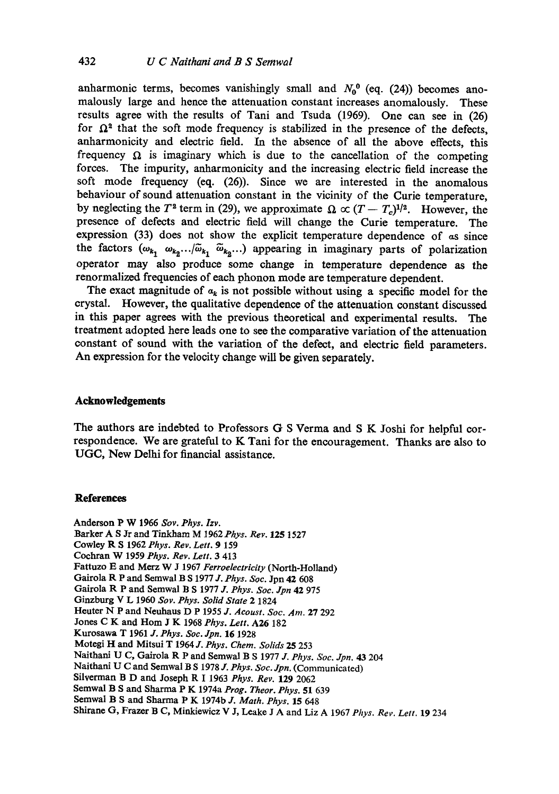anharmonic terms, becomes vanishingly small and  $N_0^0$  (eq. (24)) becomes anomalously large and hence the attenuation constant increases anomalously. These results agree with the results of Tani and Tsuda (1969). One can see in (26) for  $\Omega^2$  that the soft mode frequency is stabilized in the presence of the defects, anharmonicity and electric field. In the absence of all the above effects, this frequency  $\Omega$  is imaginary which is due to the cancellation of the competing forces. The impurity, anharmonicity and the increasing electric field increase the soft mode frequency (eq. (26)). Since we are interested in the anomalous behaviour of sound attenuation constant in the vicinity of the Curie temperature, by neglecting the T<sup>2</sup> term in (29), we approximate  $\Omega \propto (T-T_c)^{1/2}$ . However, the presence of defects and electric field will change the Curie temperature. The expression (33) does not show the explicit temperature dependence of as since the factors  $(\omega_{k_1}, \omega_{k_2}...\omega_{k_1}, \omega_{k_2} ...)$  appearing in imaginary parts of polarization operator may also produce some change in temperature dependence as the renormalized frequencies of each phonon mode are temperature dependent.

The exact magnitude of  $a_k$  is not possible without using a specific model for the crystal. However, the qualitative dependence of the attenuation constant discussed in this paper agrees with the previous theoretical and experimental results. The treatment adopted here leads one to see the comparative variation of the attenuation constant of sound with the variation of the defect, and electric field parameters. An expression for the velocity change will be given separately.

# **Acknowledgements**

The authors are indebted to Professors G S Verma and S K Joshi for helpful correspondence. We are grateful to K Tani for the encouragement. Thanks are also to UGC, New Delhi for financial assistance.

## **References**

Anderson P W 1966 *Soy. Phys. Izv.*  Barker A S Jr and Tinkham M *1962Phys. Rev.* 125 1527 Cowley R S 1962 *Phys. Rev. Lett.* 9 159 Cochr&n W 1959 *Phys. Rev. Lett.* 3 413 Fattuzo E and Merz W J 1967 *Ferroeleetricity* (North-Holland) Gairola R P and Semwal B S 1977 *d. Phys. 8oc.* Jpn 42 608 Gairola R P and Semwal B S 1977 *d. Phys. See. dpn* 42 975 Ginzburg V L 1960 Sov. Phys. Solid State 2 1824 Heuter N P and Neuhaus D P 1955 *d. Aeoust. See. Am.* 27 292 Jones C K and Hem J K 1968 *Phys. Lett.* A26 182 Kurosawa T 1961 *d. Phys. See. dpn.* 16 1928 Motegi H and Mitsui T 1964 *d. Phys. Chem. Solids* 25 253 Naithani O C, Gairola R P and Semwal B S 1977 *J. Phys. See. dpn.* 43 204 Naithani U C and Semwal B S 1978 *J. Phys. Soc. Jpn.* (Communicated) Silverman B D and Joseph R I 1963 *Phys. Rev.* 129 2062 Semwal B S and Sharma P K 1974a *Prog. Theor. Phys.* 51 639 Semwal B S and Sharma P K 1974b *J. Math. Phys.* 15 648 Shirane G, Frazer B C, Minkiewicz V J, Leake J A and Liz A 1967 *Phys. Rev. Lett.* 19 234